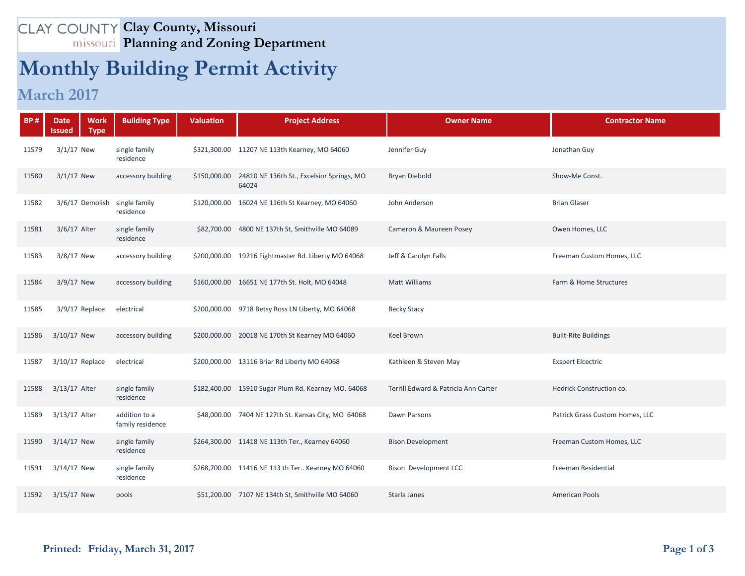## **Clay County, Missouri Planning and Zoning Department**

## **Monthly Building Permit Activity**

## **March 2017**

| <b>BP#</b> | <b>Work</b><br><b>Date</b><br><b>Type</b><br>Issued | <b>Building Type</b>              | <b>Valuation</b> | <b>Project Address</b>                                          | <b>Owner Name</b>                    | <b>Contractor Name</b>          |
|------------|-----------------------------------------------------|-----------------------------------|------------------|-----------------------------------------------------------------|--------------------------------------|---------------------------------|
| 11579      | $3/1/17$ New                                        | single family<br>residence        |                  | \$321,300.00 11207 NE 113th Kearney, MO 64060                   | Jennifer Guy                         | Jonathan Guy                    |
| 11580      | $3/1/17$ New                                        | accessory building                |                  | \$150,000.00 24810 NE 136th St., Excelsior Springs, MO<br>64024 | <b>Bryan Diebold</b>                 | Show-Me Const.                  |
| 11582      | 3/6/17 Demolish single family                       | residence                         |                  | \$120,000.00 16024 NE 116th St Kearney, MO 64060                | John Anderson                        | <b>Brian Glaser</b>             |
| 11581      | 3/6/17 Alter                                        | single family<br>residence        |                  | \$82,700.00 4800 NE 137th St, Smithville MO 64089               | Cameron & Maureen Posey              | Owen Homes, LLC                 |
| 11583      | 3/8/17 New                                          | accessory building                |                  | \$200,000.00 19216 Fightmaster Rd. Liberty MO 64068             | Jeff & Carolyn Falls                 | Freeman Custom Homes, LLC       |
| 11584      | 3/9/17 New                                          | accessory building                |                  | \$160,000.00 16651 NE 177th St. Holt, MO 64048                  | <b>Matt Williams</b>                 | Farm & Home Structures          |
| 11585      | $3/9/17$ Replace                                    | electrical                        |                  | \$200,000.00 9718 Betsy Ross LN Liberty, MO 64068               | <b>Becky Stacy</b>                   |                                 |
| 11586      | 3/10/17 New                                         | accessory building                |                  | \$200,000.00 20018 NE 170th St Kearney MO 64060                 | <b>Keel Brown</b>                    | <b>Built-Rite Buildings</b>     |
| 11587      | $3/10/17$ Replace                                   | electrical                        |                  | \$200,000.00 13116 Briar Rd Liberty MO 64068                    | Kathleen & Steven May                | <b>Exspert Elcectric</b>        |
| 11588      | 3/13/17 Alter                                       | single family<br>residence        |                  | \$182,400.00 15910 Sugar Plum Rd. Kearney MO. 64068             | Terrill Edward & Patricia Ann Carter | Hedrick Construction co.        |
| 11589      | 3/13/17 Alter                                       | addition to a<br>family residence |                  | \$48,000.00 7404 NE 127th St. Kansas City, MO 64068             | Dawn Parsons                         | Patrick Grass Custom Homes, LLC |
| 11590      | $3/14/17$ New                                       | single family<br>residence        |                  | \$264,300.00 11418 NE 113th Ter., Kearney 64060                 | <b>Bison Development</b>             | Freeman Custom Homes, LLC       |
| 11591      | 3/14/17 New                                         | single family<br>residence        |                  | \$268,700.00 11416 NE 113 th Ter Kearney MO 64060               | <b>Bison Development LCC</b>         | Freeman Residential             |
| 11592      | $3/15/17$ New                                       | pools                             |                  | \$51,200.00 7107 NE 134th St, Smithville MO 64060               | Starla Janes                         | <b>American Pools</b>           |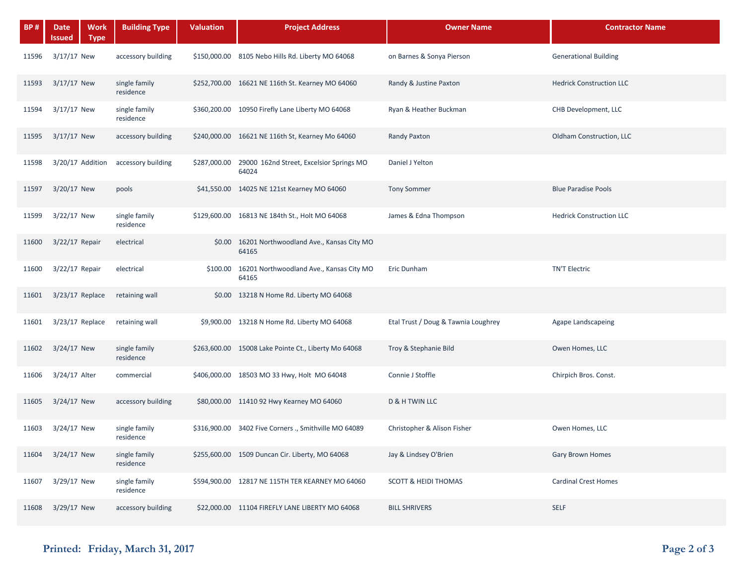| <b>BP#</b> | Date<br>Work<br><b>Type</b><br>lssued | <b>Building Type</b>       | <b>Valuation</b> | <b>Project Address</b>                                     | <b>Owner Name</b>                   | <b>Contractor Name</b>          |
|------------|---------------------------------------|----------------------------|------------------|------------------------------------------------------------|-------------------------------------|---------------------------------|
| 11596      | $3/17/17$ New                         | accessory building         |                  | \$150,000.00 8105 Nebo Hills Rd. Liberty MO 64068          | on Barnes & Sonya Pierson           | <b>Generational Building</b>    |
| 11593      | $3/17/17$ New                         | single family<br>residence |                  | \$252,700.00 16621 NE 116th St. Kearney MO 64060           | Randy & Justine Paxton              | <b>Hedrick Construction LLC</b> |
| 11594      | 3/17/17 New                           | single family<br>residence |                  | \$360,200.00 10950 Firefly Lane Liberty MO 64068           | Ryan & Heather Buckman              | CHB Development, LLC            |
| 11595      | $3/17/17$ New                         | accessory building         |                  | \$240,000.00 16621 NE 116th St, Kearney Mo 64060           | <b>Randy Paxton</b>                 | Oldham Construction, LLC        |
| 11598      | 3/20/17 Addition                      | accessory building         | \$287,000.00     | 29000 162nd Street, Excelsior Springs MO<br>64024          | Daniel J Yelton                     |                                 |
| 11597      | 3/20/17 New                           | pools                      |                  | \$41,550.00 14025 NE 121st Kearney MO 64060                | <b>Tony Sommer</b>                  | <b>Blue Paradise Pools</b>      |
| 11599      | 3/22/17 New                           | single family<br>residence |                  | \$129,600.00 16813 NE 184th St., Holt MO 64068             | James & Edna Thompson               | <b>Hedrick Construction LLC</b> |
| 11600      | $3/22/17$ Repair                      | electrical                 |                  | \$0.00 16201 Northwoodland Ave., Kansas City MO<br>64165   |                                     |                                 |
| 11600      | 3/22/17 Repair                        | electrical                 |                  | \$100.00 16201 Northwoodland Ave., Kansas City MO<br>64165 | Eric Dunham                         | <b>TN'T Electric</b>            |
| 11601      | $3/23/17$ Replace                     | retaining wall             |                  | \$0.00 13218 N Home Rd. Liberty MO 64068                   |                                     |                                 |
| 11601      | $3/23/17$ Replace                     | retaining wall             |                  | \$9,900.00 13218 N Home Rd. Liberty MO 64068               | Etal Trust / Doug & Tawnia Loughrey | Agape Landscapeing              |
| 11602      | 3/24/17 New                           | single family<br>residence |                  | \$263,600.00 15008 Lake Pointe Ct., Liberty Mo 64068       | Troy & Stephanie Bild               | Owen Homes, LLC                 |
| 11606      | 3/24/17 Alter                         | commercial                 |                  | \$406,000.00 18503 MO 33 Hwy, Holt MO 64048                | Connie J Stoffle                    | Chirpich Bros. Const.           |
| 11605      | $3/24/17$ New                         | accessory building         |                  | \$80,000.00 11410 92 Hwy Kearney MO 64060                  | <b>D &amp; H TWIN LLC</b>           |                                 |
| 11603      | $3/24/17$ New                         | single family<br>residence |                  | \$316,900.00 3402 Five Corners ., Smithville MO 64089      | Christopher & Alison Fisher         | Owen Homes, LLC                 |
| 11604      | $3/24/17$ New                         | single family<br>residence |                  | \$255,600.00 1509 Duncan Cir. Liberty, MO 64068            | Jay & Lindsey O'Brien               | Gary Brown Homes                |
| 11607      | 3/29/17 New                           | single family<br>residence |                  | \$594,900.00 12817 NE 115TH TER KEARNEY MO 64060           | <b>SCOTT &amp; HEIDI THOMAS</b>     | <b>Cardinal Crest Homes</b>     |
| 11608      | 3/29/17 New                           | accessory building         |                  | \$22,000.00 11104 FIREFLY LANE LIBERTY MO 64068            | <b>BILL SHRIVERS</b>                | SELF                            |